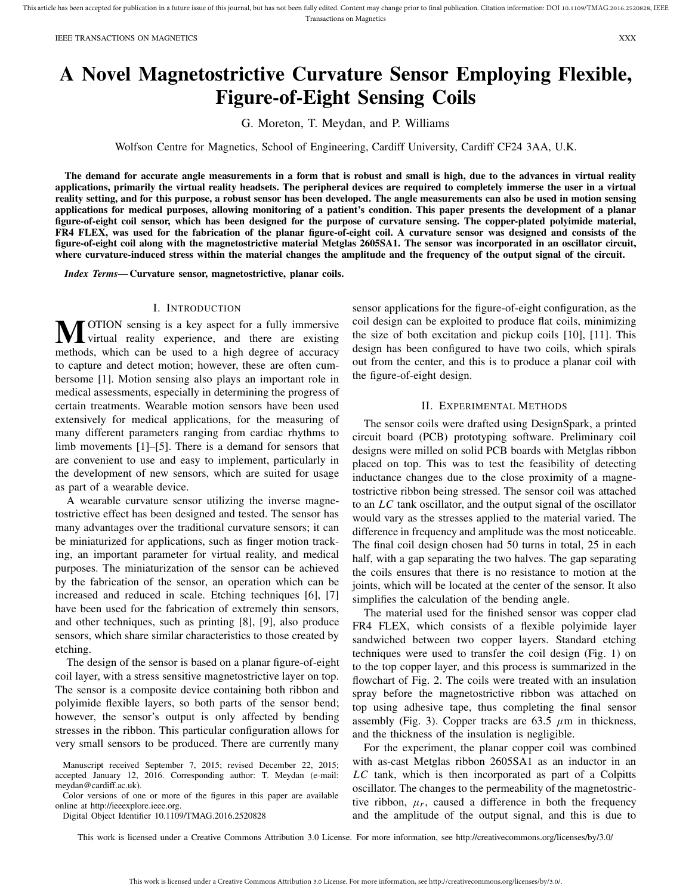# **A Novel Magnetostrictive Curvature Sensor Employing Flexible, Figure-of-Eight Sensing Coils**

G. Moreton, T. Meydan, and P. Williams

Wolfson Centre for Magnetics, School of Engineering, Cardiff University, Cardiff CF24 3AA, U.K.

**The demand for accurate angle measurements in a form that is robust and small is high, due to the advances in virtual reality applications, primarily the virtual reality headsets. The peripheral devices are required to completely immerse the user in a virtual reality setting, and for this purpose, a robust sensor has been developed. The angle measurements can also be used in motion sensing applications for medical purposes, allowing monitoring of a patient's condition. This paper presents the development of a planar figure-of-eight coil sensor, which has been designed for the purpose of curvature sensing. The copper-plated polyimide material, FR4 FLEX, was used for the fabrication of the planar figure-of-eight coil. A curvature sensor was designed and consists of the figure-of-eight coil along with the magnetostrictive material Metglas 2605SA1. The sensor was incorporated in an oscillator circuit, where curvature-induced stress within the material changes the amplitude and the frequency of the output signal of the circuit.**

*Index Terms***— Curvature sensor, magnetostrictive, planar coils.**

# I. INTRODUCTION

**M**OTION sensing is a key aspect for a fully immersive<br>virtual reality experience, and there are existing<br>weatherly until the sensitive a high degree of expression methods, which can be used to a high degree of accuracy to capture and detect motion; however, these are often cumbersome [1]. Motion sensing also plays an important role in medical assessments, especially in determining the progress of certain treatments. Wearable motion sensors have been used extensively for medical applications, for the measuring of many different parameters ranging from cardiac rhythms to limb movements [1]–[5]. There is a demand for sensors that are convenient to use and easy to implement, particularly in the development of new sensors, which are suited for usage as part of a wearable device.

A wearable curvature sensor utilizing the inverse magnetostrictive effect has been designed and tested. The sensor has many advantages over the traditional curvature sensors; it can be miniaturized for applications, such as finger motion tracking, an important parameter for virtual reality, and medical purposes. The miniaturization of the sensor can be achieved by the fabrication of the sensor, an operation which can be increased and reduced in scale. Etching techniques [6], [7] have been used for the fabrication of extremely thin sensors, and other techniques, such as printing [8], [9], also produce sensors, which share similar characteristics to those created by etching.

The design of the sensor is based on a planar figure-of-eight coil layer, with a stress sensitive magnetostrictive layer on top. The sensor is a composite device containing both ribbon and polyimide flexible layers, so both parts of the sensor bend; however, the sensor's output is only affected by bending stresses in the ribbon. This particular configuration allows for very small sensors to be produced. There are currently many

Color versions of one or more of the figures in this paper are available online at http://ieeexplore.ieee.org.

Digital Object Identifier 10.1109/TMAG.2016.2520828

sensor applications for the figure-of-eight configuration, as the coil design can be exploited to produce flat coils, minimizing the size of both excitation and pickup coils [10], [11]. This design has been configured to have two coils, which spirals out from the center, and this is to produce a planar coil with the figure-of-eight design.

# II. EXPERIMENTAL METHODS

The sensor coils were drafted using DesignSpark, a printed circuit board (PCB) prototyping software. Preliminary coil designs were milled on solid PCB boards with Metglas ribbon placed on top. This was to test the feasibility of detecting inductance changes due to the close proximity of a magnetostrictive ribbon being stressed. The sensor coil was attached to an *LC* tank oscillator, and the output signal of the oscillator would vary as the stresses applied to the material varied. The difference in frequency and amplitude was the most noticeable. The final coil design chosen had 50 turns in total, 25 in each half, with a gap separating the two halves. The gap separating the coils ensures that there is no resistance to motion at the joints, which will be located at the center of the sensor. It also simplifies the calculation of the bending angle.

The material used for the finished sensor was copper clad FR4 FLEX, which consists of a flexible polyimide layer sandwiched between two copper layers. Standard etching techniques were used to transfer the coil design (Fig. 1) on to the top copper layer, and this process is summarized in the flowchart of Fig. 2. The coils were treated with an insulation spray before the magnetostrictive ribbon was attached on top using adhesive tape, thus completing the final sensor assembly (Fig. 3). Copper tracks are  $63.5 \mu m$  in thickness, and the thickness of the insulation is negligible.

For the experiment, the planar copper coil was combined with as-cast Metglas ribbon 2605SA1 as an inductor in an *LC* tank, which is then incorporated as part of a Colpitts oscillator. The changes to the permeability of the magnetostrictive ribbon,  $\mu_r$ , caused a difference in both the frequency and the amplitude of the output signal, and this is due to

This work is licensed under a Creative Commons Attribution 3.0 License. For more information, see http://creativecommons.org/licenses/by/3.0/

Manuscript received September 7, 2015; revised December 22, 2015; accepted January 12, 2016. Corresponding author: T. Meydan (e-mail: meydan@cardiff.ac.uk).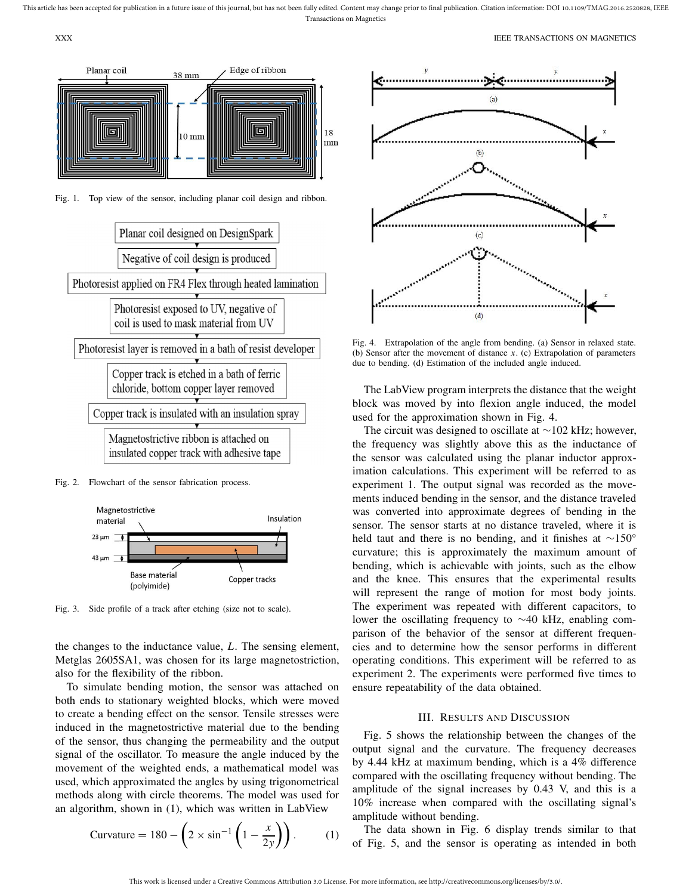

Fig. 1. Top view of the sensor, including planar coil design and ribbon.



Fig. 2. Flowchart of the sensor fabrication process.



Fig. 3. Side profile of a track after etching (size not to scale).

the changes to the inductance value, *L*. The sensing element, Metglas 2605SA1, was chosen for its large magnetostriction, also for the flexibility of the ribbon.

To simulate bending motion, the sensor was attached on both ends to stationary weighted blocks, which were moved to create a bending effect on the sensor. Tensile stresses were induced in the magnetostrictive material due to the bending of the sensor, thus changing the permeability and the output signal of the oscillator. To measure the angle induced by the movement of the weighted ends, a mathematical model was used, which approximated the angles by using trigonometrical methods along with circle theorems. The model was used for an algorithm, shown in (1), which was written in LabView

$$
\text{Curvature} = 180 - \left(2 \times \sin^{-1} \left(1 - \frac{x}{2y}\right)\right). \tag{1}
$$



Fig. 4. Extrapolation of the angle from bending. (a) Sensor in relaxed state. (b) Sensor after the movement of distance *x*. (c) Extrapolation of parameters due to bending. (d) Estimation of the included angle induced.

The LabView program interprets the distance that the weight block was moved by into flexion angle induced, the model used for the approximation shown in Fig. 4.

The circuit was designed to oscillate at ∼102 kHz; however, the frequency was slightly above this as the inductance of the sensor was calculated using the planar inductor approximation calculations. This experiment will be referred to as experiment 1. The output signal was recorded as the movements induced bending in the sensor, and the distance traveled was converted into approximate degrees of bending in the sensor. The sensor starts at no distance traveled, where it is held taut and there is no bending, and it finishes at ∼150° curvature; this is approximately the maximum amount of bending, which is achievable with joints, such as the elbow and the knee. This ensures that the experimental results will represent the range of motion for most body joints. The experiment was repeated with different capacitors, to lower the oscillating frequency to ∼40 kHz, enabling comparison of the behavior of the sensor at different frequencies and to determine how the sensor performs in different operating conditions. This experiment will be referred to as experiment 2. The experiments were performed five times to ensure repeatability of the data obtained.

# III. RESULTS AND DISCUSSION

Fig. 5 shows the relationship between the changes of the output signal and the curvature. The frequency decreases by 4.44 kHz at maximum bending, which is a 4% difference compared with the oscillating frequency without bending. The amplitude of the signal increases by 0.43 V, and this is a 10% increase when compared with the oscillating signal's amplitude without bending.

The data shown in Fig. 6 display trends similar to that of Fig. 5, and the sensor is operating as intended in both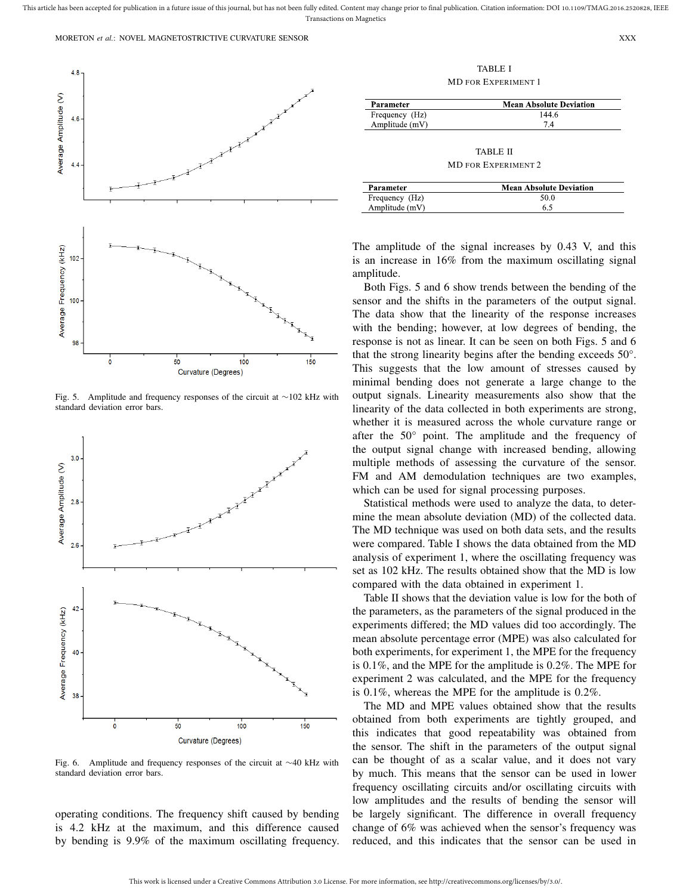#### MORETON *et al.*: NOVEL MAGNETOSTRICTIVE CURVATURE SENSOR XXX



Fig. 5. Amplitude and frequency responses of the circuit at ∼102 kHz with standard deviation error bars.



Fig. 6. Amplitude and frequency responses of the circuit at ∼40 kHz with standard deviation error bars.

operating conditions. The frequency shift caused by bending is 4.2 kHz at the maximum, and this difference caused by bending is 9.9% of the maximum oscillating frequency.

TABLE I MD FOR EXPERIMENT 1

| Parameter      | <b>Mean Absolute Deviation</b> |
|----------------|--------------------------------|
| Frequency (Hz) | 144 6                          |
| Amplitude (mV) | 74                             |

TABLE II MD FOR EXPERIMENT 2

| Parameter      | <b>Mean Absolute Deviation</b> |
|----------------|--------------------------------|
| Frequency (Hz) | 50.0                           |
| Amplitude (mV) | 6.5                            |

The amplitude of the signal increases by 0.43 V, and this is an increase in 16% from the maximum oscillating signal amplitude.

Both Figs. 5 and 6 show trends between the bending of the sensor and the shifts in the parameters of the output signal. The data show that the linearity of the response increases with the bending; however, at low degrees of bending, the response is not as linear. It can be seen on both Figs. 5 and 6 that the strong linearity begins after the bending exceeds 50°. This suggests that the low amount of stresses caused by minimal bending does not generate a large change to the output signals. Linearity measurements also show that the linearity of the data collected in both experiments are strong, whether it is measured across the whole curvature range or after the 50° point. The amplitude and the frequency of the output signal change with increased bending, allowing multiple methods of assessing the curvature of the sensor. FM and AM demodulation techniques are two examples, which can be used for signal processing purposes.

Statistical methods were used to analyze the data, to determine the mean absolute deviation (MD) of the collected data. The MD technique was used on both data sets, and the results were compared. Table I shows the data obtained from the MD analysis of experiment 1, where the oscillating frequency was set as 102 kHz. The results obtained show that the MD is low compared with the data obtained in experiment 1.

Table II shows that the deviation value is low for the both of the parameters, as the parameters of the signal produced in the experiments differed; the MD values did too accordingly. The mean absolute percentage error (MPE) was also calculated for both experiments, for experiment 1, the MPE for the frequency is 0.1%, and the MPE for the amplitude is 0.2%. The MPE for experiment 2 was calculated, and the MPE for the frequency is 0.1%, whereas the MPE for the amplitude is 0.2%.

The MD and MPE values obtained show that the results obtained from both experiments are tightly grouped, and this indicates that good repeatability was obtained from the sensor. The shift in the parameters of the output signal can be thought of as a scalar value, and it does not vary by much. This means that the sensor can be used in lower frequency oscillating circuits and/or oscillating circuits with low amplitudes and the results of bending the sensor will be largely significant. The difference in overall frequency change of 6% was achieved when the sensor's frequency was reduced, and this indicates that the sensor can be used in